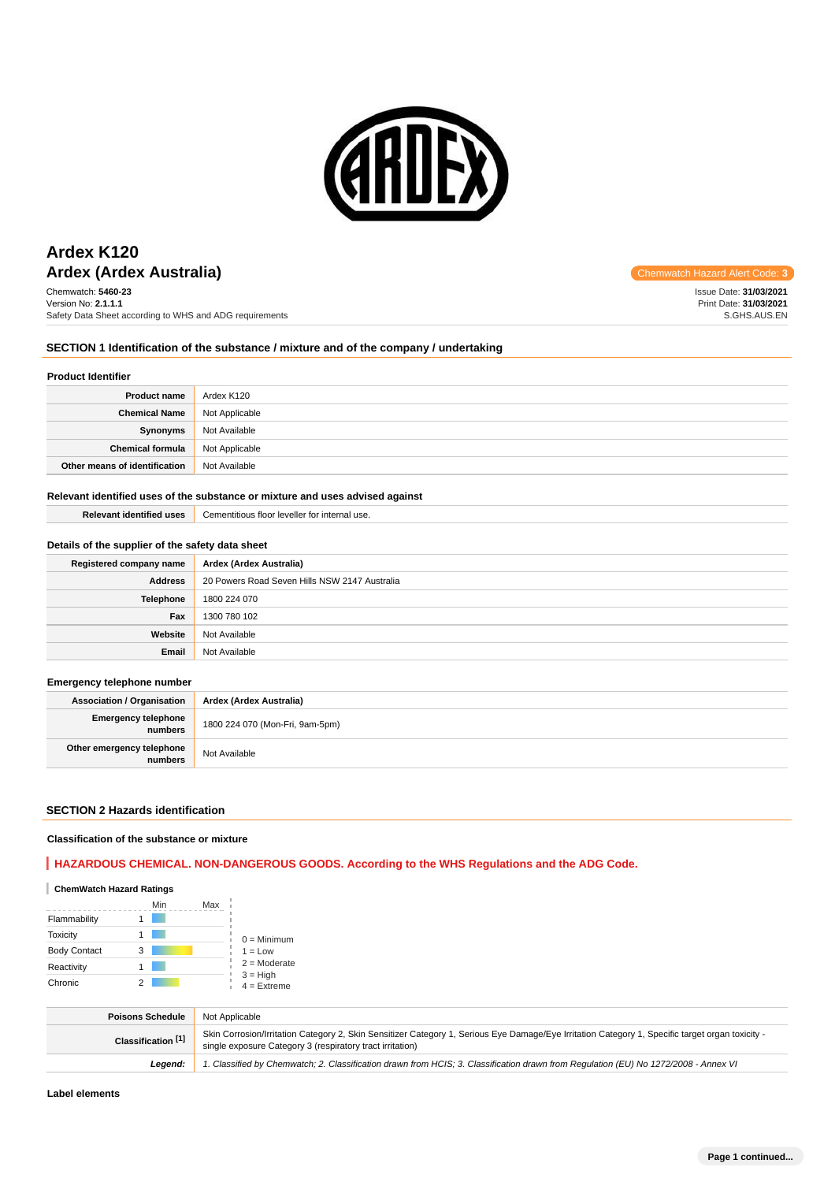

# **Ardex (Ardex Australia)** and the code: **3** Chemwatch Hazard Alert Code: 3 **Ardex K120**

Chemwatch: **5460-23** Version No: **2.1.1.1** Safety Data Sheet according to WHS and ADG requirements

Issue Date: **31/03/2021** Print Date: **31/03/2021** S.GHS.AUS.EN

### **SECTION 1 Identification of the substance / mixture and of the company / undertaking**

#### **Product Identifier**

| <b>Product name</b>           | Ardex K120     |
|-------------------------------|----------------|
| <b>Chemical Name</b>          | Not Applicable |
| Synonyms                      | Not Available  |
| <b>Chemical formula</b>       | Not Applicable |
| Other means of identification | Not Available  |

#### **Relevant identified uses of the substance or mixture and uses advised against**

| <b>Relevant identified uses</b> | Cementitious floor leveller for internal use. |
|---------------------------------|-----------------------------------------------|
|                                 |                                               |

### **Details of the supplier of the safety data sheet**

| Registered company name | Ardex (Ardex Australia)                       |
|-------------------------|-----------------------------------------------|
| <b>Address</b>          | 20 Powers Road Seven Hills NSW 2147 Australia |
| Telephone               | 1800 224 070                                  |
| Fax                     | 1300 780 102                                  |
| Website                 | Not Available                                 |
| Email                   | Not Available                                 |

### **Emergency telephone number**

**Association / Organisation Ardex (Ardex Australia) Emergency telephone numbers** 1800 224 070 (Mon-Fri, 9am-5pm) **Other emergency telephone Not Available** 

#### **SECTION 2 Hazards identification**

#### **Classification of the substance or mixture**

### **HAZARDOUS CHEMICAL. NON-DANGEROUS GOODS. According to the WHS Regulations and the ADG Code.**

### **ChemWatch Hazard Ratings**

|                     | Min | Max |                             |
|---------------------|-----|-----|-----------------------------|
| Flammability        |     |     |                             |
| <b>Toxicity</b>     |     |     | $0 =$ Minimum               |
| <b>Body Contact</b> | 3   |     | $1 = Low$                   |
| Reactivity          |     |     | $2 =$ Moderate              |
| Chronic             |     |     | $3 = High$<br>$4 =$ Extreme |

| <b>Poisons Schedule</b> | Not Applicable                                                                                                                                                                                                |
|-------------------------|---------------------------------------------------------------------------------------------------------------------------------------------------------------------------------------------------------------|
| Classification [1]      | Skin Corrosion/Irritation Category 2, Skin Sensitizer Category 1, Serious Eye Damage/Eye Irritation Category 1, Specific target organ toxicity -<br>single exposure Category 3 (respiratory tract irritation) |
| Leaend:                 | 1. Classified by Chemwatch; 2. Classification drawn from HCIS; 3. Classification drawn from Requlation (EU) No 1272/2008 - Annex VI                                                                           |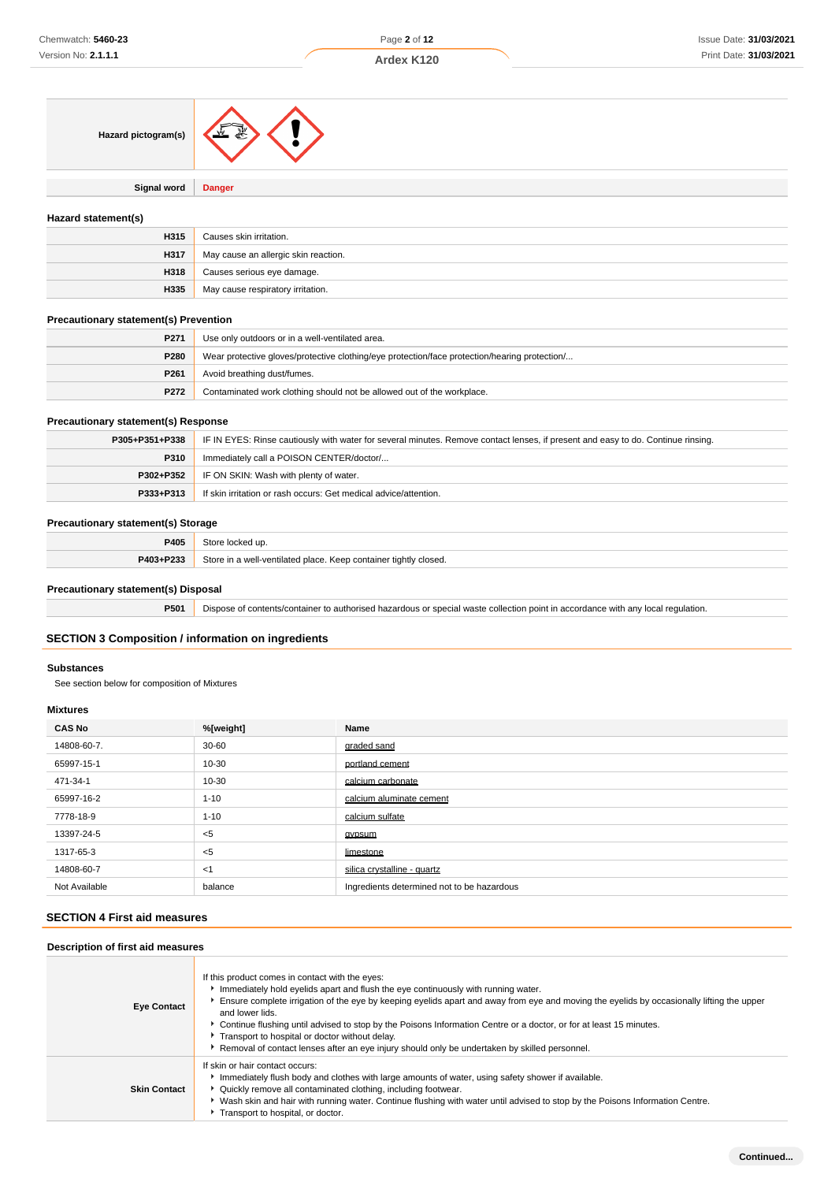| Hazard pictogram(s) |  |
|---------------------|--|
|---------------------|--|

**Signal word Danger**

### **Hazard statement(s)**

| H315 | Causes skin irritation.              |
|------|--------------------------------------|
| H317 | May cause an allergic skin reaction. |
| H318 | Causes serious eye damage.           |
| H335 | May cause respiratory irritation.    |

### **Precautionary statement(s) Prevention**

| P271             | Use only outdoors or in a well-ventilated area.                                               |  |
|------------------|-----------------------------------------------------------------------------------------------|--|
| P280             | Wear protective gloves/protective clothing/eye protection/face protection/hearing protection/ |  |
| P <sub>261</sub> | Avoid breathing dust/fumes.                                                                   |  |
| P272             | Contaminated work clothing should not be allowed out of the workplace.                        |  |

### **Precautionary statement(s) Response**

| P305+P351+P338 | IF IN EYES: Rinse cautiously with water for several minutes. Remove contact lenses, if present and easy to do. Continue rinsing. |  |
|----------------|----------------------------------------------------------------------------------------------------------------------------------|--|
| P310           | Immediately call a POISON CENTER/doctor/                                                                                         |  |
| P302+P352      | IF ON SKIN: Wash with plenty of water.                                                                                           |  |
| P333+P313      | If skin irritation or rash occurs: Get medical advice/attention.                                                                 |  |

#### **Precautionary statement(s) Storage**

| DAOR<br>÷v<br>$\sim$ $\sim$ | l un                                                                                       |
|-----------------------------|--------------------------------------------------------------------------------------------|
| <b>D</b> 409. DO99          | container tightly closed.<br>Sto<br>1110<br>ventilated place.<br>Keep<br><b>VVC</b><br>. . |

### **Precautionary statement(s) Disposal**

**P501** Dispose of contents/container to authorised hazardous or special waste collection point in accordance with any local regulation.

# **SECTION 3 Composition / information on ingredients**

#### **Substances**

See section below for composition of Mixtures

### **Mixtures**

| <b>CAS No</b> | %[weight] | Name                                       |
|---------------|-----------|--------------------------------------------|
| 14808-60-7.   | $30 - 60$ | graded sand                                |
| 65997-15-1    | $10 - 30$ | portland cement                            |
| 471-34-1      | $10 - 30$ | calcium carbonate                          |
| 65997-16-2    | $1 - 10$  | calcium aluminate cement                   |
| 7778-18-9     | $1 - 10$  | calcium sulfate                            |
| 13397-24-5    | $<$ 5     | gypsum                                     |
| 1317-65-3     | $<$ 5     | limestone                                  |
| 14808-60-7    | $<$ 1     | silica crystalline - quartz                |
| Not Available | balance   | Ingredients determined not to be hazardous |

## **SECTION 4 First aid measures**

### **Description of first aid measures**

| <b>Eye Contact</b>  | If this product comes in contact with the eyes:<br>Immediately hold eyelids apart and flush the eye continuously with running water.<br>Ensure complete irrigation of the eye by keeping eyelids apart and away from eye and moving the eyelids by occasionally lifting the upper<br>and lower lids.<br>▶ Continue flushing until advised to stop by the Poisons Information Centre or a doctor, or for at least 15 minutes.<br>Transport to hospital or doctor without delay.<br>Removal of contact lenses after an eye injury should only be undertaken by skilled personnel. |
|---------------------|---------------------------------------------------------------------------------------------------------------------------------------------------------------------------------------------------------------------------------------------------------------------------------------------------------------------------------------------------------------------------------------------------------------------------------------------------------------------------------------------------------------------------------------------------------------------------------|
| <b>Skin Contact</b> | If skin or hair contact occurs:<br>Immediately flush body and clothes with large amounts of water, using safety shower if available.<br>▶ Quickly remove all contaminated clothing, including footwear.<br>▶ Wash skin and hair with running water. Continue flushing with water until advised to stop by the Poisons Information Centre.<br>Transport to hospital, or doctor.                                                                                                                                                                                                  |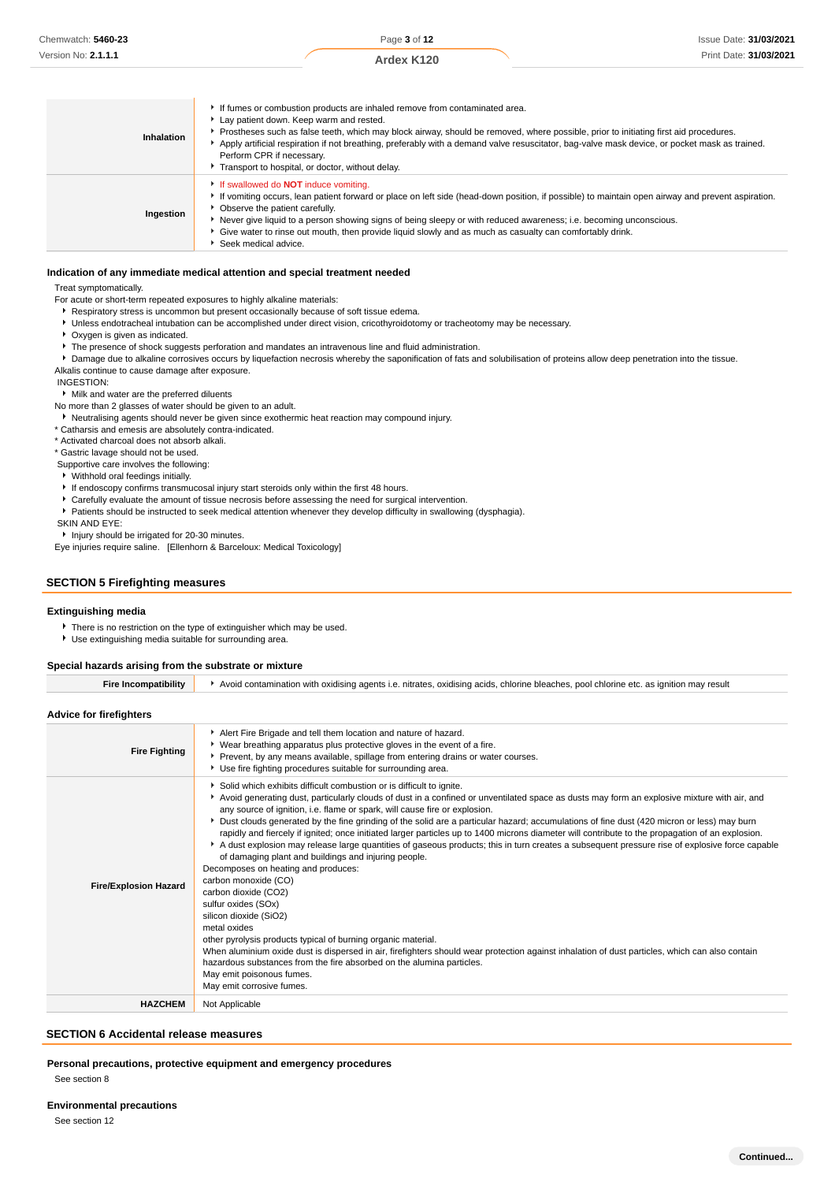Page **3** of **12 Ardex K120**

| Inhalation | If fumes or combustion products are inhaled remove from contaminated area.<br>Lay patient down. Keep warm and rested.<br>▶ Prostheses such as false teeth, which may block airway, should be removed, where possible, prior to initiating first aid procedures.<br>Apply artificial respiration if not breathing, preferably with a demand valve resuscitator, bag-valve mask device, or pocket mask as trained.<br>Perform CPR if necessary.<br>Transport to hospital, or doctor, without delay. |
|------------|---------------------------------------------------------------------------------------------------------------------------------------------------------------------------------------------------------------------------------------------------------------------------------------------------------------------------------------------------------------------------------------------------------------------------------------------------------------------------------------------------|
| Ingestion  | If swallowed do <b>NOT</b> induce vomiting.<br>If vomiting occurs, lean patient forward or place on left side (head-down position, if possible) to maintain open airway and prevent aspiration.<br>• Observe the patient carefully.<br>Never give liquid to a person showing signs of being sleepy or with reduced awareness; i.e. becoming unconscious.<br>• Give water to rinse out mouth, then provide liquid slowly and as much as casualty can comfortably drink.<br>Seek medical advice.    |

#### **Indication of any immediate medical attention and special treatment needed**

Treat symptomatically.

For acute or short-term repeated exposures to highly alkaline materials:

- Respiratory stress is uncommon but present occasionally because of soft tissue edema.
- Unless endotracheal intubation can be accomplished under direct vision, cricothyroidotomy or tracheotomy may be necessary.
- Oxygen is given as indicated.
- **F** The presence of shock suggests perforation and mandates an intravenous line and fluid administration.

**P** Damage due to alkaline corrosives occurs by liquefaction necrosis whereby the saponification of fats and solubilisation of proteins allow deep penetration into the tissue. Alkalis continue to cause damage after exposure.

INGESTION:

Milk and water are the preferred diluents

No more than 2 glasses of water should be given to an adult.

Neutralising agents should never be given since exothermic heat reaction may compound injury.

\* Catharsis and emesis are absolutely contra-indicated.

\* Activated charcoal does not absorb alkali.

\* Gastric lavage should not be used.

 Supportive care involves the following: Withhold oral feedings initially.

If endoscopy confirms transmucosal injury start steroids only within the first 48 hours.

- Carefully evaluate the amount of tissue necrosis before assessing the need for surgical intervention.
- Patients should be instructed to seek medical attention whenever they develop difficulty in swallowing (dysphagia).

SKIN AND EYE:

**I** Injury should be irrigated for 20-30 minutes.

Eye injuries require saline. [Ellenhorn & Barceloux: Medical Toxicology]

### **SECTION 5 Firefighting measures**

#### **Extinguishing media**

There is no restriction on the type of extinguisher which may be used.

Use extinguishing media suitable for surrounding area.

#### **Special hazards arising from the substrate or mixture**

| <b>Fire Incompatibility</b>    | Avoid contamination with oxidising agents i.e. nitrates, oxidising acids, chlorine bleaches, pool chlorine etc. as ignition may result                                                                                                                                                                                                                                                                                                                                                                                                                                                                                                                                                                                                                                                                                                                                                                                                                                                                                                                                                                                                                                                                                                                                                                                         |  |  |
|--------------------------------|--------------------------------------------------------------------------------------------------------------------------------------------------------------------------------------------------------------------------------------------------------------------------------------------------------------------------------------------------------------------------------------------------------------------------------------------------------------------------------------------------------------------------------------------------------------------------------------------------------------------------------------------------------------------------------------------------------------------------------------------------------------------------------------------------------------------------------------------------------------------------------------------------------------------------------------------------------------------------------------------------------------------------------------------------------------------------------------------------------------------------------------------------------------------------------------------------------------------------------------------------------------------------------------------------------------------------------|--|--|
| <b>Advice for firefighters</b> |                                                                                                                                                                                                                                                                                                                                                                                                                                                                                                                                                                                                                                                                                                                                                                                                                                                                                                                                                                                                                                                                                                                                                                                                                                                                                                                                |  |  |
| <b>Fire Fighting</b>           | Alert Fire Brigade and tell them location and nature of hazard.<br>▶ Wear breathing apparatus plus protective gloves in the event of a fire.<br>Prevent, by any means available, spillage from entering drains or water courses.<br>Use fire fighting procedures suitable for surrounding area.                                                                                                                                                                                                                                                                                                                                                                                                                                                                                                                                                                                                                                                                                                                                                                                                                                                                                                                                                                                                                                |  |  |
| <b>Fire/Explosion Hazard</b>   | Solid which exhibits difficult combustion or is difficult to ignite.<br>▶ Avoid generating dust, particularly clouds of dust in a confined or unventilated space as dusts may form an explosive mixture with air, and<br>any source of ignition, i.e. flame or spark, will cause fire or explosion.<br>> Dust clouds generated by the fine grinding of the solid are a particular hazard; accumulations of fine dust (420 micron or less) may burn<br>rapidly and fiercely if ignited; once initiated larger particles up to 1400 microns diameter will contribute to the propagation of an explosion.<br>A dust explosion may release large quantities of gaseous products; this in turn creates a subsequent pressure rise of explosive force capable<br>of damaging plant and buildings and injuring people.<br>Decomposes on heating and produces:<br>carbon monoxide (CO)<br>carbon dioxide (CO2)<br>sulfur oxides (SOx)<br>silicon dioxide (SiO2)<br>metal oxides<br>other pyrolysis products typical of burning organic material.<br>When aluminium oxide dust is dispersed in air, firefighters should wear protection against inhalation of dust particles, which can also contain<br>hazardous substances from the fire absorbed on the alumina particles.<br>May emit poisonous fumes.<br>May emit corrosive fumes. |  |  |
| <b>HAZCHEM</b>                 | Not Applicable                                                                                                                                                                                                                                                                                                                                                                                                                                                                                                                                                                                                                                                                                                                                                                                                                                                                                                                                                                                                                                                                                                                                                                                                                                                                                                                 |  |  |

#### **SECTION 6 Accidental release measures**

**Personal precautions, protective equipment and emergency procedures** See section 8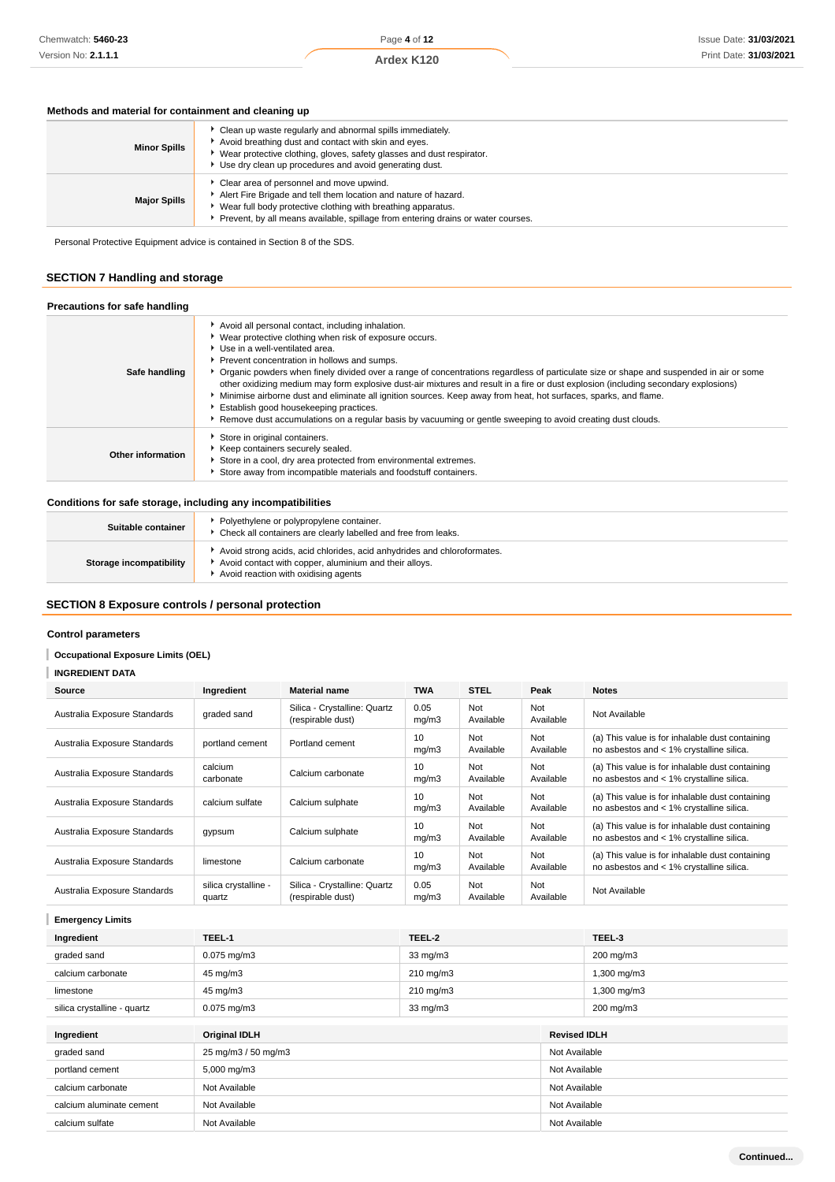# Page **4** of **12**

### **Ardex K120**

### **Methods and material for containment and cleaning up**

| <b>Minor Spills</b> | Clean up waste regularly and abnormal spills immediately.<br>Avoid breathing dust and contact with skin and eyes.<br>Wear protective clothing, gloves, safety glasses and dust respirator.<br>Use dry clean up procedures and avoid generating dust.            |
|---------------------|-----------------------------------------------------------------------------------------------------------------------------------------------------------------------------------------------------------------------------------------------------------------|
| <b>Major Spills</b> | Clear area of personnel and move upwind.<br>Alert Fire Brigade and tell them location and nature of hazard.<br>Wear full body protective clothing with breathing apparatus.<br>Prevent, by all means available, spillage from entering drains or water courses. |

Personal Protective Equipment advice is contained in Section 8 of the SDS.

# **SECTION 7 Handling and storage**

| Precautions for safe handling |                                                                                                                                                                                                                                                                                                                                                                                                                                                                                                                                                                                                                                                                                                                                                                   |
|-------------------------------|-------------------------------------------------------------------------------------------------------------------------------------------------------------------------------------------------------------------------------------------------------------------------------------------------------------------------------------------------------------------------------------------------------------------------------------------------------------------------------------------------------------------------------------------------------------------------------------------------------------------------------------------------------------------------------------------------------------------------------------------------------------------|
| Safe handling                 | Avoid all personal contact, including inhalation.<br>• Wear protective clothing when risk of exposure occurs.<br>▶ Use in a well-ventilated area.<br>Prevent concentration in hollows and sumps.<br>Organic powders when finely divided over a range of concentrations regardless of particulate size or shape and suspended in air or some<br>other oxidizing medium may form explosive dust-air mixtures and result in a fire or dust explosion (including secondary explosions)<br>Minimise airborne dust and eliminate all ignition sources. Keep away from heat, hot surfaces, sparks, and flame.<br>Establish good housekeeping practices.<br>▶ Remove dust accumulations on a regular basis by vacuuming or gentle sweeping to avoid creating dust clouds. |
| Other information             | Store in original containers.<br>▶ Keep containers securely sealed.<br>Store in a cool, dry area protected from environmental extremes.<br>Store away from incompatible materials and foodstuff containers.                                                                                                                                                                                                                                                                                                                                                                                                                                                                                                                                                       |

### **Conditions for safe storage, including any incompatibilities**

| Suitable container             | Polyethylene or polypropylene container.<br>• Check all containers are clearly labelled and free from leaks.                                                              |
|--------------------------------|---------------------------------------------------------------------------------------------------------------------------------------------------------------------------|
| <b>Storage incompatibility</b> | Avoid strong acids, acid chlorides, acid anhydrides and chloroformates.<br>Avoid contact with copper, aluminium and their alloys.<br>Avoid reaction with oxidising agents |

# **SECTION 8 Exposure controls / personal protection**

### **Control parameters**

I **Occupational Exposure Limits (OEL)**

# **INGREDIENT DATA**

| Source                       | Ingredient                     | <b>Material name</b>                              | <b>TWA</b>    | <b>STEL</b>             | Peak             | <b>Notes</b>                                                                                |
|------------------------------|--------------------------------|---------------------------------------------------|---------------|-------------------------|------------------|---------------------------------------------------------------------------------------------|
| Australia Exposure Standards | graded sand                    | Silica - Crystalline: Quartz<br>(respirable dust) | 0.05<br>mq/m3 | Not<br>Available        | Not<br>Available | Not Available                                                                               |
| Australia Exposure Standards | portland cement                | Portland cement                                   | 10<br>mq/m3   | Not<br>Available        | Not<br>Available | (a) This value is for inhalable dust containing<br>no asbestos and < 1% crystalline silica. |
| Australia Exposure Standards | calcium<br>carbonate           | Calcium carbonate                                 | 10<br>mg/m3   | Not<br>Available        | Not<br>Available | (a) This value is for inhalable dust containing<br>no asbestos and < 1% crystalline silica. |
| Australia Exposure Standards | calcium sulfate                | Calcium sulphate                                  | 10<br>mq/m3   | Not<br>Available        | Not<br>Available | (a) This value is for inhalable dust containing<br>no asbestos and < 1% crystalline silica. |
| Australia Exposure Standards | gypsum                         | Calcium sulphate                                  | 10<br>mq/m3   | Not<br>Available        | Not<br>Available | (a) This value is for inhalable dust containing<br>no asbestos and < 1% crystalline silica. |
| Australia Exposure Standards | limestone                      | Calcium carbonate                                 | 10<br>mg/m3   | <b>Not</b><br>Available | Not<br>Available | (a) This value is for inhalable dust containing<br>no asbestos and < 1% crystalline silica. |
| Australia Exposure Standards | silica crystalline -<br>quartz | Silica - Crystalline: Quartz<br>(respirable dust) | 0.05<br>mg/m3 | Not<br>Available        | Not<br>Available | Not Available                                                                               |

**Emergency Limits**

| Ingredient                  | TEEL-1               | TEEL-2             |                     | TEEL-3      |
|-----------------------------|----------------------|--------------------|---------------------|-------------|
| graded sand                 | $0.075$ mg/m $3$     | $33 \text{ mg/m}$  |                     | 200 mg/m3   |
| calcium carbonate           | 45 mg/m3             | $210 \text{ mg/m}$ |                     | 1,300 mg/m3 |
| limestone                   | 45 mg/m3             | 210 mg/m3          |                     | 1,300 mg/m3 |
| silica crystalline - quartz | $0.075$ mg/m $3$     | $33 \text{ mg/m}$  |                     | 200 mg/m3   |
|                             |                      |                    |                     |             |
| Ingredient                  | <b>Original IDLH</b> |                    | <b>Revised IDLH</b> |             |
| graded sand                 | 25 mg/m3 / 50 mg/m3  |                    | Not Available       |             |
| portland cement             | 5,000 mg/m3          |                    | Not Available       |             |
| calcium carbonate           | Not Available        |                    | Not Available       |             |
| calcium aluminate cement    | Not Available        |                    | Not Available       |             |
| calcium sulfate             | Not Available        |                    | Not Available       |             |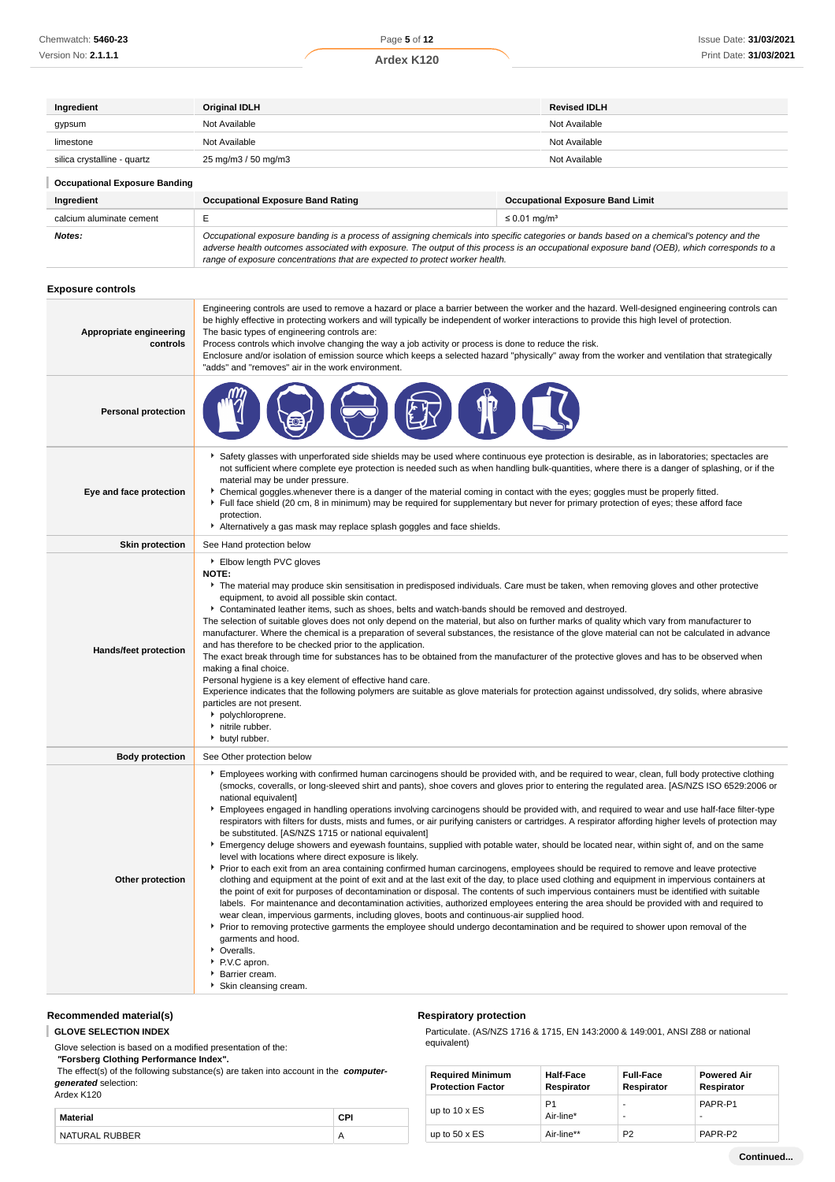| Ingredient                           | <b>Original IDLH</b>                                                                                                                                                                                                                                                                                                                                                                                                                                   |                                         | <b>Revised IDLH</b> |  |
|--------------------------------------|--------------------------------------------------------------------------------------------------------------------------------------------------------------------------------------------------------------------------------------------------------------------------------------------------------------------------------------------------------------------------------------------------------------------------------------------------------|-----------------------------------------|---------------------|--|
| gypsum                               | Not Available                                                                                                                                                                                                                                                                                                                                                                                                                                          |                                         | Not Available       |  |
| limestone                            | Not Available                                                                                                                                                                                                                                                                                                                                                                                                                                          |                                         | Not Available       |  |
| silica crystalline - quartz          | 25 mg/m3 / 50 mg/m3                                                                                                                                                                                                                                                                                                                                                                                                                                    |                                         | Not Available       |  |
| <b>Occupational Exposure Banding</b> |                                                                                                                                                                                                                                                                                                                                                                                                                                                        |                                         |                     |  |
| Ingredient                           | <b>Occupational Exposure Band Rating</b>                                                                                                                                                                                                                                                                                                                                                                                                               | <b>Occupational Exposure Band Limit</b> |                     |  |
| calcium aluminate cement             | E                                                                                                                                                                                                                                                                                                                                                                                                                                                      | $\leq$ 0.01 mg/m <sup>3</sup>           |                     |  |
| Notes:                               | Occupational exposure banding is a process of assigning chemicals into specific categories or bands based on a chemical's potency and the<br>adverse health outcomes associated with exposure. The output of this process is an occupational exposure band (OEB), which corresponds to a<br>range of exposure concentrations that are expected to protect worker health.                                                                               |                                         |                     |  |
| <b>Exposure controls</b>             |                                                                                                                                                                                                                                                                                                                                                                                                                                                        |                                         |                     |  |
| Appropriate engineering<br>controls  | Engineering controls are used to remove a hazard or place a barrier between the worker and the hazard. Well-designed engineering controls can<br>be highly effective in protecting workers and will typically be independent of worker interactions to provide this high level of protection.<br>The basic types of engineering controls are:<br>Process controls which involve changing the way a job activity or process is done to reduce the risk. |                                         |                     |  |

Enclosure and/or isolation of emission source which keeps a selected hazard "physically" away from the worker and ventilation that strategically "adds" and "removes" air in the work environment.



- **Eye and face protection** Safety glasses with unperforated side shields may be used where continuous eye protection is desirable, as in laboratories; spectacles are not sufficient where complete eye protection is needed such as when handling bulk-quantities, where there is a danger of splashing, or if the material may be under pressure. Chemical goggles.whenever there is a danger of the material coming in contact with the eyes; goggles must be properly fitted.
	- Full face shield (20 cm, 8 in minimum) may be required for supplementary but never for primary protection of eyes; these afford face protection.
	- Alternatively a gas mask may replace splash goggles and face shields.
	- **Skin protection** See Hand protection below

| Elbow length PVC gloves |
|-------------------------|
| NOTE:                   |

**Personal protection**

- The material may produce skin sensitisation in predisposed individuals. Care must be taken, when removing gloves and other protective equipment, to avoid all possible skin contact.
	- Contaminated leather items, such as shoes, belts and watch-bands should be removed and destroyed.

The selection of suitable gloves does not only depend on the material, but also on further marks of quality which vary from manufacturer to manufacturer. Where the chemical is a preparation of several substances, the resistance of the glove material can not be calculated in advance and has therefore to be checked prior to the application.

#### **Hands/feet protection** The exact break through time for substances has to be obtained from the manufacturer of the protective gloves and has to be observed when making a final choice.

Personal hygiene is a key element of effective hand care.

Experience indicates that the following polymers are suitable as glove materials for protection against undissolved, dry solids, where abrasive particles are not present.

|  | polychloroprene. |
|--|------------------|
|--|------------------|

- nitrile rubber.
- butyl rubber.

**Body protection** See Other protection below

Employees working with confirmed human carcinogens should be provided with, and be required to wear, clean, full body protective clothing (smocks, coveralls, or long-sleeved shirt and pants), shoe covers and gloves prior to entering the regulated area. [AS/NZS ISO 6529:2006 or national equivalent]

- Employees engaged in handling operations involving carcinogens should be provided with, and required to wear and use half-face filter-type respirators with filters for dusts, mists and fumes, or air purifying canisters or cartridges. A respirator affording higher levels of protection may be substituted. [AS/NZS 1715 or national equivalent]
- Emergency deluge showers and eyewash fountains, supplied with potable water, should be located near, within sight of, and on the same level with locations where direct exposure is likely.
- Prior to each exit from an area containing confirmed human carcinogens, employees should be required to remove and leave protective clothing and equipment at the point of exit and at the last exit of the day, to place used clothing and equipment in impervious containers at the point of exit for purposes of decontamination or disposal. The contents of such impervious containers must be identified with suitable labels. For maintenance and decontamination activities, authorized employees entering the area should be provided with and required to wear clean, impervious garments, including gloves, boots and continuous-air supplied hood.
	- Prior to removing protective garments the employee should undergo decontamination and be required to shower upon removal of the garments and hood.
	- **▶** Overalls.
	- P.V.C apron.
	- Barrier cream.
	- Skin cleansing cream.

# **Recommended material(s)**

**GLOVE SELECTION INDEX**

Glove selection is based on a modified presentation of the:

 **"Forsberg Clothing Performance Index".**

**Other protection**

 The effect(s) of the following substance(s) are taken into account in the **computergenerated** selection: Ardex K120

**Material CPI** NATURAL RUBBER AND A A

### **Respiratory protection**

Particulate. (AS/NZS 1716 & 1715, EN 143:2000 & 149:001, ANSI Z88 or national equivalent)

| <b>Required Minimum</b>  | <b>Half-Face</b> | <b>Full-Face</b> | <b>Powered Air</b> |
|--------------------------|------------------|------------------|--------------------|
| <b>Protection Factor</b> | Respirator       | Respirator       | Respirator         |
| up to $10 \times ES$     | P <sub>1</sub>   | -                | PAPR-P1            |
|                          | Air-line*        | -                | -                  |
| up to $50 \times ES$     | Air-line**       | P <sub>2</sub>   | PAPR-P2            |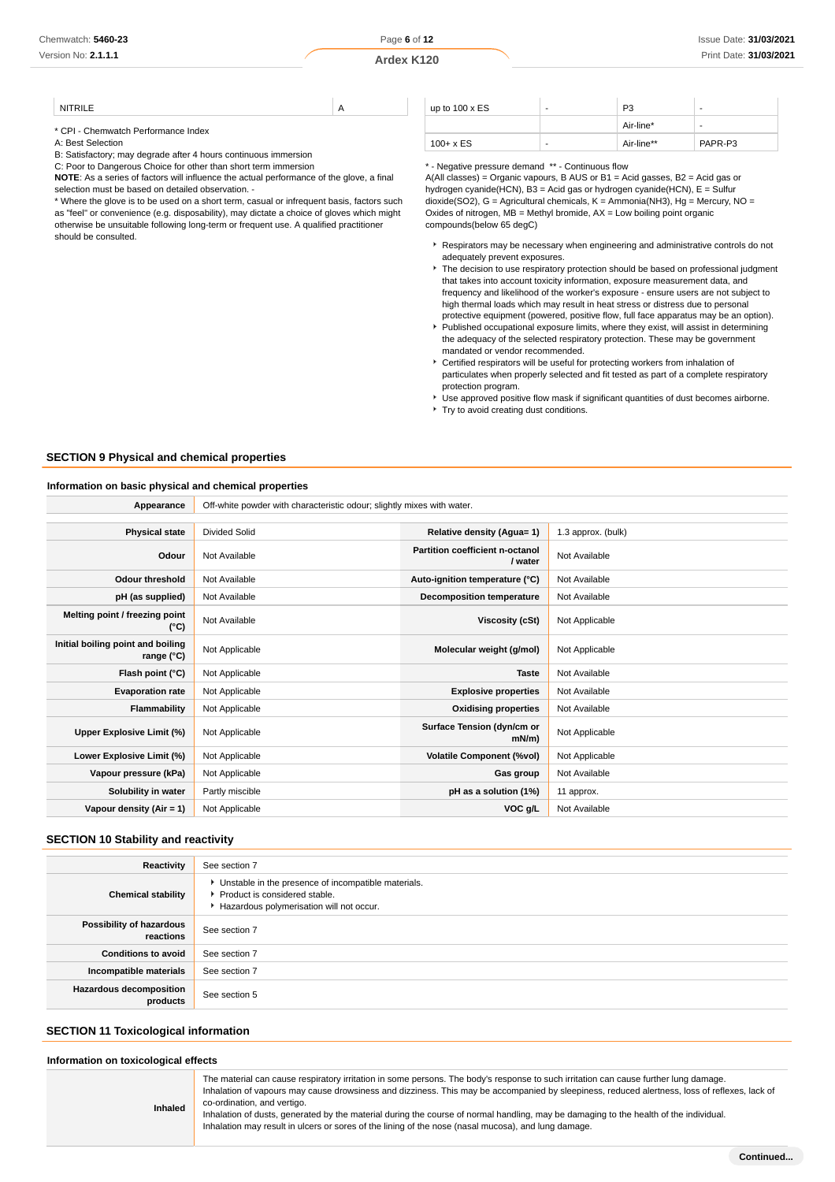NITRILE A

\* CPI - Chemwatch Performance Index

A: Best Selection

B: Satisfactory; may degrade after 4 hours continuous immersion

C: Poor to Dangerous Choice for other than short term immersion

**NOTE**: As a series of factors will influence the actual performance of the glove, a final selection must be based on detailed observation. -

\* Where the glove is to be used on a short term, casual or infrequent basis, factors such as "feel" or convenience (e.g. disposability), may dictate a choice of gloves which might otherwise be unsuitable following long-term or frequent use. A qualified practitioner should be consulted.

| up to $100 \times ES$ | - | P <sub>3</sub> | $\overline{\phantom{a}}$ |
|-----------------------|---|----------------|--------------------------|
|                       |   | Air-line*      | $\overline{\phantom{a}}$ |
| $100 + x ES$          | ۰ | Air-line**     | PAPR-P3                  |

\* - Negative pressure demand \*\* - Continuous flow

A(All classes) = Organic vapours, B AUS or B1 = Acid gasses, B2 = Acid gas or hydrogen cyanide(HCN), B3 = Acid gas or hydrogen cyanide(HCN), E = Sulfur dioxide(SO2), G = Agricultural chemicals, K = Ammonia(NH3), Hg = Mercury, NO = Oxides of nitrogen,  $MB =$  Methyl bromide,  $AX =$  Low boiling point organic compounds(below 65 degC)

- **Respirators may be necessary when engineering and administrative controls do not** adequately prevent exposures.
- The decision to use respiratory protection should be based on professional judgment that takes into account toxicity information, exposure measurement data, and frequency and likelihood of the worker's exposure - ensure users are not subject to high thermal loads which may result in heat stress or distress due to personal protective equipment (powered, positive flow, full face apparatus may be an option).
- Published occupational exposure limits, where they exist, will assist in determining the adequacy of the selected respiratory protection. These may be government mandated or vendor recommended.
- Certified respirators will be useful for protecting workers from inhalation of particulates when properly selected and fit tested as part of a complete respiratory protection program.
- Use approved positive flow mask if significant quantities of dust becomes airborne. ▶ Try to avoid creating dust conditions.

#### **SECTION 9 Physical and chemical properties**

#### **Information on basic physical and chemical properties**

**Appearance** Off-white powder with characteristic odour; slightly mixes with water.

| <b>Divided Solid</b> | Relative density (Agua= 1)                 | 1.3 approx. (bulk) |
|----------------------|--------------------------------------------|--------------------|
| Not Available        | Partition coefficient n-octanol<br>/ water | Not Available      |
| Not Available        | Auto-ignition temperature (°C)             | Not Available      |
| Not Available        | <b>Decomposition temperature</b>           | Not Available      |
| Not Available        | Viscosity (cSt)                            | Not Applicable     |
| Not Applicable       | Molecular weight (g/mol)                   | Not Applicable     |
| Not Applicable       | <b>Taste</b>                               | Not Available      |
| Not Applicable       | <b>Explosive properties</b>                | Not Available      |
| Not Applicable       | <b>Oxidising properties</b>                | Not Available      |
| Not Applicable       | Surface Tension (dyn/cm or<br>$mN/m$ )     | Not Applicable     |
| Not Applicable       | <b>Volatile Component (%vol)</b>           | Not Applicable     |
| Not Applicable       | Gas group                                  | Not Available      |
| Partly miscible      | pH as a solution (1%)                      | 11 approx.         |
| Not Applicable       | VOC g/L                                    | Not Available      |
|                      |                                            |                    |

### **SECTION 10 Stability and reactivity**

| Reactivity                                 | See section 7                                                                                                                        |
|--------------------------------------------|--------------------------------------------------------------------------------------------------------------------------------------|
| <b>Chemical stability</b>                  | • Unstable in the presence of incompatible materials.<br>▶ Product is considered stable.<br>Hazardous polymerisation will not occur. |
| Possibility of hazardous<br>reactions      | See section 7                                                                                                                        |
| <b>Conditions to avoid</b>                 | See section 7                                                                                                                        |
| Incompatible materials                     | See section 7                                                                                                                        |
| <b>Hazardous decomposition</b><br>products | See section 5                                                                                                                        |

#### **SECTION 11 Toxicological information**

**Inhaled**

#### **Information on toxicological effects**

The material can cause respiratory irritation in some persons. The body's response to such irritation can cause further lung damage. Inhalation of vapours may cause drowsiness and dizziness. This may be accompanied by sleepiness, reduced alertness, loss of reflexes, lack of co-ordination, and vertigo.

Inhalation of dusts, generated by the material during the course of normal handling, may be damaging to the health of the individual. Inhalation may result in ulcers or sores of the lining of the nose (nasal mucosa), and lung damage.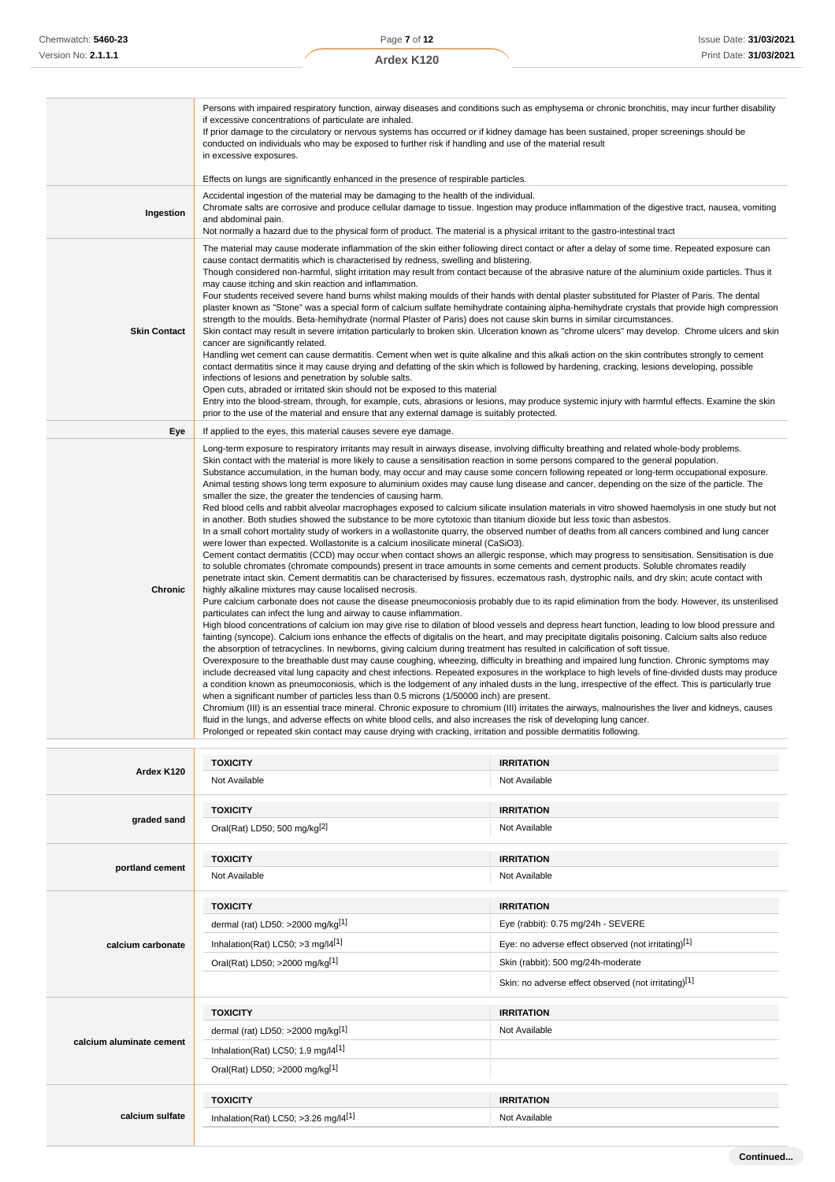|                     | Persons with impaired respiratory function, airway diseases and conditions such as emphysema or chronic bronchitis, may incur further disability<br>if excessive concentrations of particulate are inhaled.<br>If prior damage to the circulatory or nervous systems has occurred or if kidney damage has been sustained, proper screenings should be<br>conducted on individuals who may be exposed to further risk if handling and use of the material result<br>in excessive exposures.<br>Effects on lungs are significantly enhanced in the presence of respirable particles.                                                                                                                                                                                                                                                                                                                                                                                                                                                                                                                                                                                                                                                                                                                                                                                                                                                                                                                                                                                                                                                                                                                                                                                                                                                                                                                                                                                                                                                                                                                                                                                                                                                                                                                                                                                                                                                                                                                                                                                                                                                                                                                                                                                                                                                                                                                                                                                                                                                                                                                                                                                                                                                                                                        |                                                                                                                                                   |
|---------------------|-------------------------------------------------------------------------------------------------------------------------------------------------------------------------------------------------------------------------------------------------------------------------------------------------------------------------------------------------------------------------------------------------------------------------------------------------------------------------------------------------------------------------------------------------------------------------------------------------------------------------------------------------------------------------------------------------------------------------------------------------------------------------------------------------------------------------------------------------------------------------------------------------------------------------------------------------------------------------------------------------------------------------------------------------------------------------------------------------------------------------------------------------------------------------------------------------------------------------------------------------------------------------------------------------------------------------------------------------------------------------------------------------------------------------------------------------------------------------------------------------------------------------------------------------------------------------------------------------------------------------------------------------------------------------------------------------------------------------------------------------------------------------------------------------------------------------------------------------------------------------------------------------------------------------------------------------------------------------------------------------------------------------------------------------------------------------------------------------------------------------------------------------------------------------------------------------------------------------------------------------------------------------------------------------------------------------------------------------------------------------------------------------------------------------------------------------------------------------------------------------------------------------------------------------------------------------------------------------------------------------------------------------------------------------------------------------------------------------------------------------------------------------------------------------------------------------------------------------------------------------------------------------------------------------------------------------------------------------------------------------------------------------------------------------------------------------------------------------------------------------------------------------------------------------------------------------------------------------------------------------------------------------------------------|---------------------------------------------------------------------------------------------------------------------------------------------------|
|                     |                                                                                                                                                                                                                                                                                                                                                                                                                                                                                                                                                                                                                                                                                                                                                                                                                                                                                                                                                                                                                                                                                                                                                                                                                                                                                                                                                                                                                                                                                                                                                                                                                                                                                                                                                                                                                                                                                                                                                                                                                                                                                                                                                                                                                                                                                                                                                                                                                                                                                                                                                                                                                                                                                                                                                                                                                                                                                                                                                                                                                                                                                                                                                                                                                                                                                           |                                                                                                                                                   |
| Ingestion           | Accidental ingestion of the material may be damaging to the health of the individual.<br>Chromate salts are corrosive and produce cellular damage to tissue. Ingestion may produce inflammation of the digestive tract, nausea, vomiting<br>and abdominal pain.<br>Not normally a hazard due to the physical form of product. The material is a physical irritant to the gastro-intestinal tract                                                                                                                                                                                                                                                                                                                                                                                                                                                                                                                                                                                                                                                                                                                                                                                                                                                                                                                                                                                                                                                                                                                                                                                                                                                                                                                                                                                                                                                                                                                                                                                                                                                                                                                                                                                                                                                                                                                                                                                                                                                                                                                                                                                                                                                                                                                                                                                                                                                                                                                                                                                                                                                                                                                                                                                                                                                                                          |                                                                                                                                                   |
| <b>Skin Contact</b> | The material may cause moderate inflammation of the skin either following direct contact or after a delay of some time. Repeated exposure can<br>cause contact dermatitis which is characterised by redness, swelling and blistering.<br>Though considered non-harmful, slight irritation may result from contact because of the abrasive nature of the aluminium oxide particles. Thus it<br>may cause itching and skin reaction and inflammation.<br>Four students received severe hand burns whilst making moulds of their hands with dental plaster substituted for Plaster of Paris. The dental<br>plaster known as "Stone" was a special form of calcium sulfate hemihydrate containing alpha-hemihydrate crystals that provide high compression<br>strength to the moulds. Beta-hemihydrate (normal Plaster of Paris) does not cause skin burns in similar circumstances.<br>cancer are significantly related.<br>Handling wet cement can cause dermatitis. Cement when wet is quite alkaline and this alkali action on the skin contributes strongly to cement<br>contact dermatitis since it may cause drying and defatting of the skin which is followed by hardening, cracking, lesions developing, possible<br>infections of lesions and penetration by soluble salts.<br>Open cuts, abraded or irritated skin should not be exposed to this material<br>Entry into the blood-stream, through, for example, cuts, abrasions or lesions, may produce systemic injury with harmful effects. Examine the skin<br>prior to the use of the material and ensure that any external damage is suitably protected.                                                                                                                                                                                                                                                                                                                                                                                                                                                                                                                                                                                                                                                                                                                                                                                                                                                                                                                                                                                                                                                                                                                                                                                                                                                                                                                                                                                                                                                                                                                                                                                                                                                                     | Skin contact may result in severe irritation particularly to broken skin. Ulceration known as "chrome ulcers" may develop. Chrome ulcers and skin |
| Eye                 | If applied to the eyes, this material causes severe eye damage.                                                                                                                                                                                                                                                                                                                                                                                                                                                                                                                                                                                                                                                                                                                                                                                                                                                                                                                                                                                                                                                                                                                                                                                                                                                                                                                                                                                                                                                                                                                                                                                                                                                                                                                                                                                                                                                                                                                                                                                                                                                                                                                                                                                                                                                                                                                                                                                                                                                                                                                                                                                                                                                                                                                                                                                                                                                                                                                                                                                                                                                                                                                                                                                                                           |                                                                                                                                                   |
|                     |                                                                                                                                                                                                                                                                                                                                                                                                                                                                                                                                                                                                                                                                                                                                                                                                                                                                                                                                                                                                                                                                                                                                                                                                                                                                                                                                                                                                                                                                                                                                                                                                                                                                                                                                                                                                                                                                                                                                                                                                                                                                                                                                                                                                                                                                                                                                                                                                                                                                                                                                                                                                                                                                                                                                                                                                                                                                                                                                                                                                                                                                                                                                                                                                                                                                                           |                                                                                                                                                   |
| Chronic             | Long-term exposure to respiratory irritants may result in airways disease, involving difficulty breathing and related whole-body problems.<br>Skin contact with the material is more likely to cause a sensitisation reaction in some persons compared to the general population.<br>Substance accumulation, in the human body, may occur and may cause some concern following repeated or long-term occupational exposure.<br>Animal testing shows long term exposure to aluminium oxides may cause lung disease and cancer, depending on the size of the particle. The<br>smaller the size, the greater the tendencies of causing harm.<br>Red blood cells and rabbit alveolar macrophages exposed to calcium silicate insulation materials in vitro showed haemolysis in one study but not<br>in another. Both studies showed the substance to be more cytotoxic than titanium dioxide but less toxic than asbestos.<br>In a small cohort mortality study of workers in a wollastonite quarry, the observed number of deaths from all cancers combined and lung cancer<br>were lower than expected. Wollastonite is a calcium inosilicate mineral (CaSiO3).<br>Cement contact dermatitis (CCD) may occur when contact shows an allergic response, which may progress to sensitisation. Sensitisation is due<br>to soluble chromates (chromate compounds) present in trace amounts in some cements and cement products. Soluble chromates readily<br>penetrate intact skin. Cement dermatitis can be characterised by fissures, eczematous rash, dystrophic nails, and dry skin; acute contact with<br>highly alkaline mixtures may cause localised necrosis.<br>Pure calcium carbonate does not cause the disease pneumoconiosis probably due to its rapid elimination from the body. However, its unsterilised<br>particulates can infect the lung and airway to cause inflammation.<br>High blood concentrations of calcium ion may give rise to dilation of blood vessels and depress heart function, leading to low blood pressure and<br>fainting (syncope). Calcium ions enhance the effects of digitalis on the heart, and may precipitate digitalis poisoning. Calcium salts also reduce<br>the absorption of tetracyclines. In newborns, giving calcium during treatment has resulted in calcification of soft tissue.<br>Overexposure to the breathable dust may cause coughing, wheezing, difficulty in breathing and impaired lung function. Chronic symptoms may<br>include decreased vital lung capacity and chest infections. Repeated exposures in the workplace to high levels of fine-divided dusts may produce<br>a condition known as pneumoconiosis, which is the lodgement of any inhaled dusts in the lung, irrespective of the effect. This is particularly true<br>when a significant number of particles less than 0.5 microns (1/50000 inch) are present.<br>Chromium (III) is an essential trace mineral. Chronic exposure to chromium (III) irritates the airways, malnourishes the liver and kidneys, causes<br>fluid in the lungs, and adverse effects on white blood cells, and also increases the risk of developing lung cancer.<br>Prolonged or repeated skin contact may cause drying with cracking, irritation and possible dermatitis following. |                                                                                                                                                   |
|                     |                                                                                                                                                                                                                                                                                                                                                                                                                                                                                                                                                                                                                                                                                                                                                                                                                                                                                                                                                                                                                                                                                                                                                                                                                                                                                                                                                                                                                                                                                                                                                                                                                                                                                                                                                                                                                                                                                                                                                                                                                                                                                                                                                                                                                                                                                                                                                                                                                                                                                                                                                                                                                                                                                                                                                                                                                                                                                                                                                                                                                                                                                                                                                                                                                                                                                           |                                                                                                                                                   |
| Ardex K120          | <b>TOXICITY</b>                                                                                                                                                                                                                                                                                                                                                                                                                                                                                                                                                                                                                                                                                                                                                                                                                                                                                                                                                                                                                                                                                                                                                                                                                                                                                                                                                                                                                                                                                                                                                                                                                                                                                                                                                                                                                                                                                                                                                                                                                                                                                                                                                                                                                                                                                                                                                                                                                                                                                                                                                                                                                                                                                                                                                                                                                                                                                                                                                                                                                                                                                                                                                                                                                                                                           | <b>IRRITATION</b>                                                                                                                                 |

|                          | .                                             |                                                      |
|--------------------------|-----------------------------------------------|------------------------------------------------------|
| Ardex K120               | Not Available                                 | Not Available                                        |
| graded sand              | <b>TOXICITY</b>                               | <b>IRRITATION</b>                                    |
|                          | Oral(Rat) LD50; 500 mg/kg <sup>[2]</sup>      | Not Available                                        |
|                          | <b>TOXICITY</b>                               | <b>IRRITATION</b>                                    |
| portland cement          | Not Available                                 | Not Available                                        |
|                          | <b>TOXICITY</b>                               | <b>IRRITATION</b>                                    |
|                          | dermal (rat) LD50: >2000 mg/kg <sup>[1]</sup> | Eye (rabbit): 0.75 mg/24h - SEVERE                   |
| calcium carbonate        | Inhalation(Rat) LC50; $>3$ mg/ $[4[1]]$       | Eye: no adverse effect observed (not irritating)[1]  |
|                          | Oral(Rat) LD50; >2000 mg/kg[1]                | Skin (rabbit): 500 mg/24h-moderate                   |
|                          |                                               | Skin: no adverse effect observed (not irritating)[1] |
|                          | <b>TOXICITY</b>                               | <b>IRRITATION</b>                                    |
|                          | dermal (rat) LD50: >2000 mg/kg $[1]$          | Not Available                                        |
| calcium aluminate cement | Inhalation(Rat) LC50; 1.9 mg/l4[1]            |                                                      |
|                          | Oral(Rat) LD50; >2000 mg/kg[1]                |                                                      |
|                          | <b>TOXICITY</b>                               | <b>IRRITATION</b>                                    |
| calcium sulfate          | Inhalation(Rat) LC50; >3.26 mg/ $[4^{[1]}$    | Not Available                                        |
|                          |                                               |                                                      |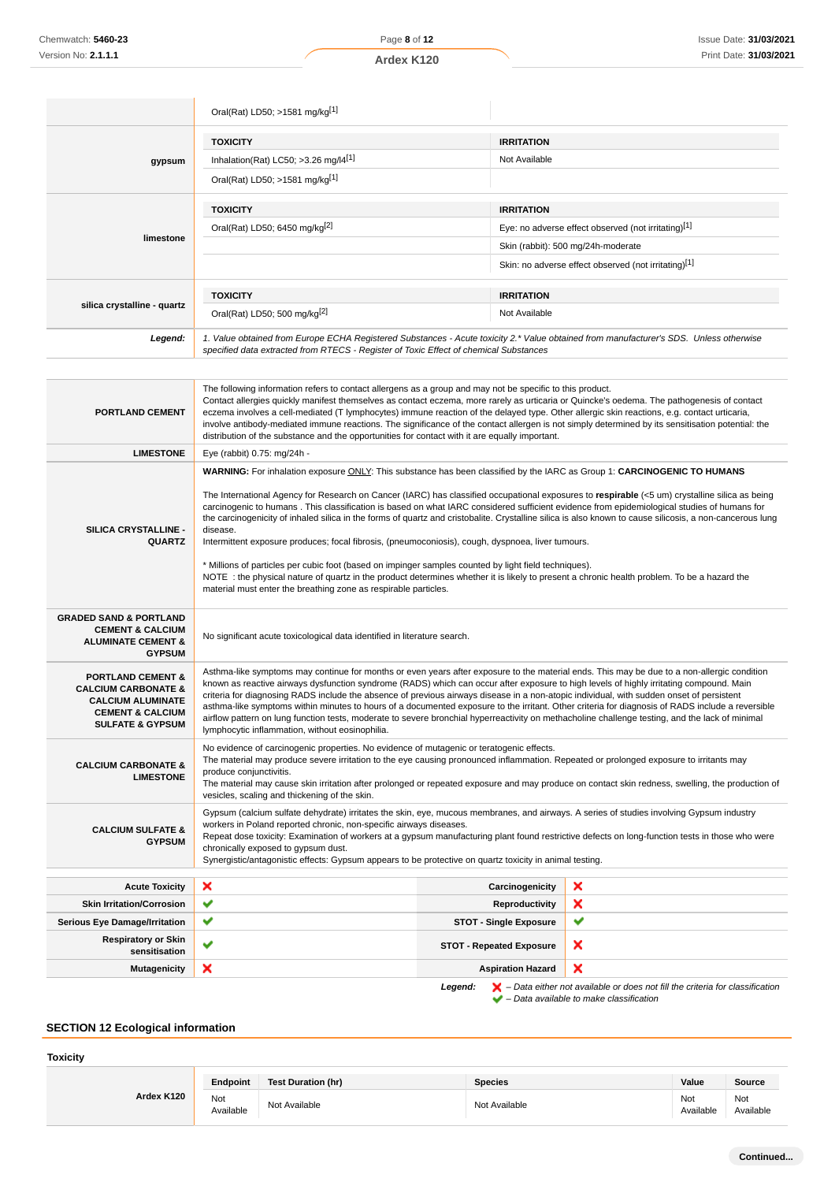|                                                                                                                                                          | Oral(Rat) LD50; >1581 mg/kg <sup>[1]</sup>                                                                                                                                                                                                                                                                                                                                                                                                                                                                                                                                                                                                                                                                                                                                                                                                                                                                                                                                                                                       |                                 |                                                                                                                                                                     |  |
|----------------------------------------------------------------------------------------------------------------------------------------------------------|----------------------------------------------------------------------------------------------------------------------------------------------------------------------------------------------------------------------------------------------------------------------------------------------------------------------------------------------------------------------------------------------------------------------------------------------------------------------------------------------------------------------------------------------------------------------------------------------------------------------------------------------------------------------------------------------------------------------------------------------------------------------------------------------------------------------------------------------------------------------------------------------------------------------------------------------------------------------------------------------------------------------------------|---------------------------------|---------------------------------------------------------------------------------------------------------------------------------------------------------------------|--|
|                                                                                                                                                          | <b>TOXICITY</b>                                                                                                                                                                                                                                                                                                                                                                                                                                                                                                                                                                                                                                                                                                                                                                                                                                                                                                                                                                                                                  | <b>IRRITATION</b>               |                                                                                                                                                                     |  |
| gypsum                                                                                                                                                   | Inhalation(Rat) LC50; >3.26 mg/l4[1]                                                                                                                                                                                                                                                                                                                                                                                                                                                                                                                                                                                                                                                                                                                                                                                                                                                                                                                                                                                             | Not Available                   |                                                                                                                                                                     |  |
|                                                                                                                                                          | Oral(Rat) LD50; >1581 mg/kg[1]                                                                                                                                                                                                                                                                                                                                                                                                                                                                                                                                                                                                                                                                                                                                                                                                                                                                                                                                                                                                   |                                 |                                                                                                                                                                     |  |
|                                                                                                                                                          | <b>TOXICITY</b>                                                                                                                                                                                                                                                                                                                                                                                                                                                                                                                                                                                                                                                                                                                                                                                                                                                                                                                                                                                                                  | <b>IRRITATION</b>               |                                                                                                                                                                     |  |
|                                                                                                                                                          | Oral(Rat) LD50; 6450 mg/kg <sup>[2]</sup>                                                                                                                                                                                                                                                                                                                                                                                                                                                                                                                                                                                                                                                                                                                                                                                                                                                                                                                                                                                        |                                 | Eye: no adverse effect observed (not irritating)[1]                                                                                                                 |  |
| limestone                                                                                                                                                |                                                                                                                                                                                                                                                                                                                                                                                                                                                                                                                                                                                                                                                                                                                                                                                                                                                                                                                                                                                                                                  |                                 | Skin (rabbit): 500 mg/24h-moderate                                                                                                                                  |  |
|                                                                                                                                                          |                                                                                                                                                                                                                                                                                                                                                                                                                                                                                                                                                                                                                                                                                                                                                                                                                                                                                                                                                                                                                                  |                                 | Skin: no adverse effect observed (not irritating)[1]                                                                                                                |  |
|                                                                                                                                                          |                                                                                                                                                                                                                                                                                                                                                                                                                                                                                                                                                                                                                                                                                                                                                                                                                                                                                                                                                                                                                                  |                                 |                                                                                                                                                                     |  |
|                                                                                                                                                          | <b>TOXICITY</b>                                                                                                                                                                                                                                                                                                                                                                                                                                                                                                                                                                                                                                                                                                                                                                                                                                                                                                                                                                                                                  | <b>IRRITATION</b>               |                                                                                                                                                                     |  |
| silica crystalline - quartz                                                                                                                              | Oral(Rat) LD50; 500 mg/kg <sup>[2]</sup>                                                                                                                                                                                                                                                                                                                                                                                                                                                                                                                                                                                                                                                                                                                                                                                                                                                                                                                                                                                         | Not Available                   |                                                                                                                                                                     |  |
| Legend:                                                                                                                                                  | 1. Value obtained from Europe ECHA Registered Substances - Acute toxicity 2.* Value obtained from manufacturer's SDS. Unless otherwise<br>specified data extracted from RTECS - Register of Toxic Effect of chemical Substances                                                                                                                                                                                                                                                                                                                                                                                                                                                                                                                                                                                                                                                                                                                                                                                                  |                                 |                                                                                                                                                                     |  |
|                                                                                                                                                          |                                                                                                                                                                                                                                                                                                                                                                                                                                                                                                                                                                                                                                                                                                                                                                                                                                                                                                                                                                                                                                  |                                 |                                                                                                                                                                     |  |
| PORTLAND CEMENT                                                                                                                                          | The following information refers to contact allergens as a group and may not be specific to this product.<br>Contact allergies quickly manifest themselves as contact eczema, more rarely as urticaria or Quincke's oedema. The pathogenesis of contact<br>eczema involves a cell-mediated (T lymphocytes) immune reaction of the delayed type. Other allergic skin reactions, e.g. contact urticaria,<br>involve antibody-mediated immune reactions. The significance of the contact allergen is not simply determined by its sensitisation potential: the<br>distribution of the substance and the opportunities for contact with it are equally important.                                                                                                                                                                                                                                                                                                                                                                    |                                 |                                                                                                                                                                     |  |
| <b>LIMESTONE</b>                                                                                                                                         | Eye (rabbit) 0.75: mg/24h -                                                                                                                                                                                                                                                                                                                                                                                                                                                                                                                                                                                                                                                                                                                                                                                                                                                                                                                                                                                                      |                                 |                                                                                                                                                                     |  |
| SILICA CRYSTALLINE -<br><b>QUARTZ</b>                                                                                                                    | WARNING: For inhalation exposure ONLY: This substance has been classified by the IARC as Group 1: CARCINOGENIC TO HUMANS<br>The International Agency for Research on Cancer (IARC) has classified occupational exposures to respirable (<5 um) crystalline silica as being<br>carcinogenic to humans. This classification is based on what IARC considered sufficient evidence from epidemiological studies of humans for<br>the carcinogenicity of inhaled silica in the forms of quartz and cristobalite. Crystalline silica is also known to cause silicosis, a non-cancerous lung<br>disease.<br>Intermittent exposure produces; focal fibrosis, (pneumoconiosis), cough, dyspnoea, liver tumours.<br>* Millions of particles per cubic foot (based on impinger samples counted by light field techniques).<br>NOTE: the physical nature of quartz in the product determines whether it is likely to present a chronic health problem. To be a hazard the<br>material must enter the breathing zone as respirable particles. |                                 |                                                                                                                                                                     |  |
| <b>GRADED SAND &amp; PORTLAND</b><br><b>CEMENT &amp; CALCIUM</b><br><b>ALUMINATE CEMENT &amp;</b><br><b>GYPSUM</b>                                       | No significant acute toxicological data identified in literature search.                                                                                                                                                                                                                                                                                                                                                                                                                                                                                                                                                                                                                                                                                                                                                                                                                                                                                                                                                         |                                 |                                                                                                                                                                     |  |
| <b>PORTLAND CEMENT &amp;</b><br><b>CALCIUM CARBONATE &amp;</b><br><b>CALCIUM ALUMINATE</b><br><b>CEMENT &amp; CALCIUM</b><br><b>SULFATE &amp; GYPSUM</b> | Asthma-like symptoms may continue for months or even years after exposure to the material ends. This may be due to a non-allergic condition<br>known as reactive airways dysfunction syndrome (RADS) which can occur after exposure to high levels of highly irritating compound. Main<br>criteria for diagnosing RADS include the absence of previous airways disease in a non-atopic individual, with sudden onset of persistent<br>airflow pattern on lung function tests, moderate to severe bronchial hyperreactivity on methacholine challenge testing, and the lack of minimal<br>lymphocytic inflammation, without eosinophilia.                                                                                                                                                                                                                                                                                                                                                                                         |                                 | asthma-like symptoms within minutes to hours of a documented exposure to the irritant. Other criteria for diagnosis of RADS include a reversible                    |  |
| <b>CALCIUM CARBONATE &amp;</b><br><b>LIMESTONE</b>                                                                                                       | No evidence of carcinogenic properties. No evidence of mutagenic or teratogenic effects.<br>The material may produce severe irritation to the eye causing pronounced inflammation. Repeated or prolonged exposure to irritants may<br>produce conjunctivitis.<br>The material may cause skin irritation after prolonged or repeated exposure and may produce on contact skin redness, swelling, the production of<br>vesicles, scaling and thickening of the skin.                                                                                                                                                                                                                                                                                                                                                                                                                                                                                                                                                               |                                 |                                                                                                                                                                     |  |
| <b>CALCIUM SULFATE &amp;</b><br><b>GYPSUM</b>                                                                                                            | Gypsum (calcium sulfate dehydrate) irritates the skin, eye, mucous membranes, and airways. A series of studies involving Gypsum industry<br>workers in Poland reported chronic, non-specific airways diseases.<br>Repeat dose toxicity: Examination of workers at a gypsum manufacturing plant found restrictive defects on long-function tests in those who were<br>chronically exposed to gypsum dust.<br>Synergistic/antagonistic effects: Gypsum appears to be protective on quartz toxicity in animal testing.                                                                                                                                                                                                                                                                                                                                                                                                                                                                                                              |                                 |                                                                                                                                                                     |  |
| <b>Acute Toxicity</b>                                                                                                                                    | ×                                                                                                                                                                                                                                                                                                                                                                                                                                                                                                                                                                                                                                                                                                                                                                                                                                                                                                                                                                                                                                | Carcinogenicity                 | ×                                                                                                                                                                   |  |
| <b>Skin Irritation/Corrosion</b>                                                                                                                         | ✔                                                                                                                                                                                                                                                                                                                                                                                                                                                                                                                                                                                                                                                                                                                                                                                                                                                                                                                                                                                                                                | <b>Reproductivity</b>           | ×                                                                                                                                                                   |  |
| <b>Serious Eye Damage/Irritation</b>                                                                                                                     | ✔                                                                                                                                                                                                                                                                                                                                                                                                                                                                                                                                                                                                                                                                                                                                                                                                                                                                                                                                                                                                                                | <b>STOT - Single Exposure</b>   | ✔                                                                                                                                                                   |  |
| <b>Respiratory or Skin</b><br>sensitisation                                                                                                              | ✔                                                                                                                                                                                                                                                                                                                                                                                                                                                                                                                                                                                                                                                                                                                                                                                                                                                                                                                                                                                                                                | <b>STOT - Repeated Exposure</b> | ×                                                                                                                                                                   |  |
| <b>Mutagenicity</b>                                                                                                                                      | ×                                                                                                                                                                                                                                                                                                                                                                                                                                                                                                                                                                                                                                                                                                                                                                                                                                                                                                                                                                                                                                | <b>Aspiration Hazard</b>        | ×                                                                                                                                                                   |  |
|                                                                                                                                                          |                                                                                                                                                                                                                                                                                                                                                                                                                                                                                                                                                                                                                                                                                                                                                                                                                                                                                                                                                                                                                                  | Legend:                         | $\blacktriangleright$ – Data either not available or does not fill the criteria for classification<br>$\blacktriangleright$ - Data available to make classification |  |

**SECTION 12 Ecological information**

| <b>Toxicity</b> |                  |                           |                |                  |                  |
|-----------------|------------------|---------------------------|----------------|------------------|------------------|
|                 | Endpoint         | <b>Test Duration (hr)</b> | <b>Species</b> | Value            | Source           |
| Ardex K120      | Not<br>Available | Not Available             | Not Available  | Not<br>Available | Not<br>Available |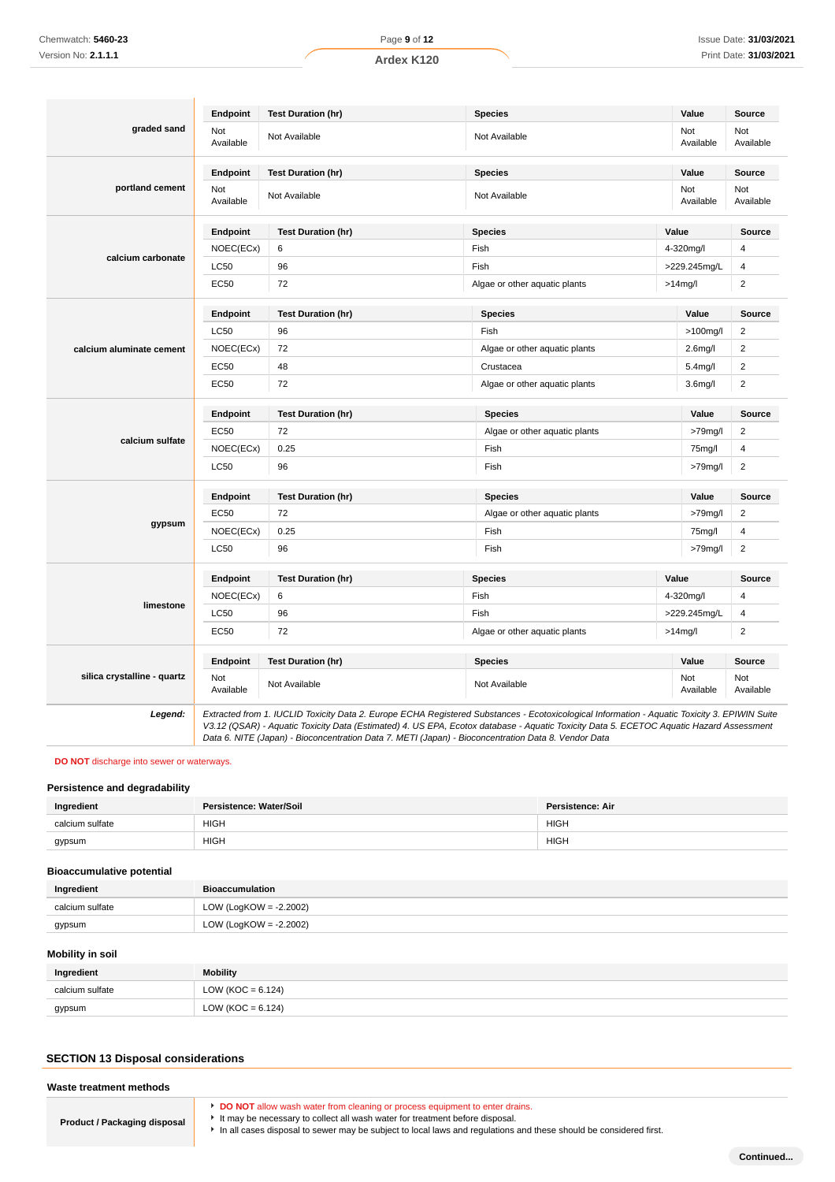|                             | Endpoint         | <b>Test Duration (hr)</b> | <b>Species</b>                                        | Value                | Source           |
|-----------------------------|------------------|---------------------------|-------------------------------------------------------|----------------------|------------------|
| graded sand                 | Not<br>Available | Not Available             | Not<br>Not Available<br>Available                     |                      | Not<br>Available |
|                             | Endpoint         | <b>Test Duration (hr)</b> | <b>Species</b>                                        | Value                | Source           |
| portland cement             | Not<br>Available | Not Available             | Not Available                                         | Not<br>Available     | Not<br>Available |
|                             | Endpoint         | <b>Test Duration (hr)</b> | <b>Species</b>                                        | Value                | Source           |
|                             | NOEC(ECx)        | 6                         | Fish                                                  | 4-320mg/l            | $\overline{4}$   |
| calcium carbonate           | LC50             | 96                        | Fish                                                  | >229.245mg/L         | 4                |
|                             | <b>EC50</b>      | 72                        | Algae or other aquatic plants                         | $>14$ mg/l           | $\overline{2}$   |
|                             | Endpoint         | <b>Test Duration (hr)</b> | <b>Species</b>                                        | Value                | <b>Source</b>    |
|                             | <b>LC50</b>      | 96                        | Fish                                                  | $>100$ mg/l          | $\overline{2}$   |
| calcium aluminate cement    | NOEC(ECx)        | 72                        | Algae or other aquatic plants                         | 2.6 <sub>m</sub> g/l | $\overline{2}$   |
|                             | <b>EC50</b>      | 48                        | Crustacea                                             | 5.4mg/l              | $\overline{2}$   |
|                             | <b>EC50</b>      | 72                        | Algae or other aquatic plants<br>3.6 <sub>m</sub> g/l |                      | $\overline{2}$   |
|                             | Endpoint         | <b>Test Duration (hr)</b> | <b>Species</b>                                        | Value                | <b>Source</b>    |
|                             | <b>EC50</b>      | 72                        | Algae or other aquatic plants                         | >79mg/l              | $\overline{2}$   |
| calcium sulfate             | NOEC(ECx)        | 0.25                      | Fish<br>75mg/l                                        |                      | $\overline{4}$   |
|                             | <b>LC50</b>      | 96                        | Fish                                                  | $>79$ mg/l           | $\overline{2}$   |
|                             | Endpoint         | <b>Test Duration (hr)</b> | <b>Species</b>                                        | Value                | Source           |
|                             | <b>EC50</b>      | 72                        | Algae or other aquatic plants                         | $>79$ mg/l           | $\boldsymbol{2}$ |
| gypsum                      | NOEC(ECx)        | 0.25                      | Fish                                                  | 75mg/l               | 4                |
|                             | LC50             | 96                        | Fish                                                  | >79mg/l              | $\overline{2}$   |
|                             | Endpoint         | <b>Test Duration (hr)</b> | <b>Species</b>                                        | Value                | <b>Source</b>    |
|                             | NOEC(ECx)        | 6                         | Fish                                                  | 4-320mg/l            | 4                |
| limestone                   | <b>LC50</b>      | 96                        | Fish<br>>229.245mg/L                                  |                      | 4                |
|                             | EC50             | 72                        | Algae or other aquatic plants                         | $>14$ mg/l           | $\overline{2}$   |
|                             | Endpoint         | <b>Test Duration (hr)</b> | <b>Species</b>                                        | Value                | Source           |
| silica crystalline - quartz | Not<br>Available | Not Available             | Not Available                                         | Not<br>Available     | Not<br>Available |

### **DO NOT** discharge into sewer or waterways.

### **Persistence and degradability**

| Ingredient      | Persistence: Water/Soil | <b>Persistence: Air</b> |
|-----------------|-------------------------|-------------------------|
| calcium sulfate | <b>HIGH</b>             | <b>HIGH</b>             |
| gypsum          | <b>HIGH</b><br>_____    | <b>HIGH</b>             |

### **Bioaccumulative potential**

| Ingredient      | <b>Bioaccumulation</b> |
|-----------------|------------------------|
| calcium sulfate | LOW (LogKOW = -2.2002) |
| gypsum          | LOW (LogKOW = -2.2002) |

### **Mobility in soil**

| Ingredient      | <b>Mobility</b>       |
|-----------------|-----------------------|
| calcium sulfate | LOW ( $KOC = 6.124$ ) |
| gypsum          | LOW (KOC = $6.124$ )  |

# **SECTION 13 Disposal considerations**

### **Waste treatment methods**

| Product / Packaging disposal | ▶ It ma |
|------------------------------|---------|
|                              |         |

- **DO NOT** allow wash water from cleaning or process equipment to enter drains.
	- ay be necessary to collect all wash water for treatment before disposal.

In all cases disposal to sewer may be subject to local laws and regulations and these should be considered first.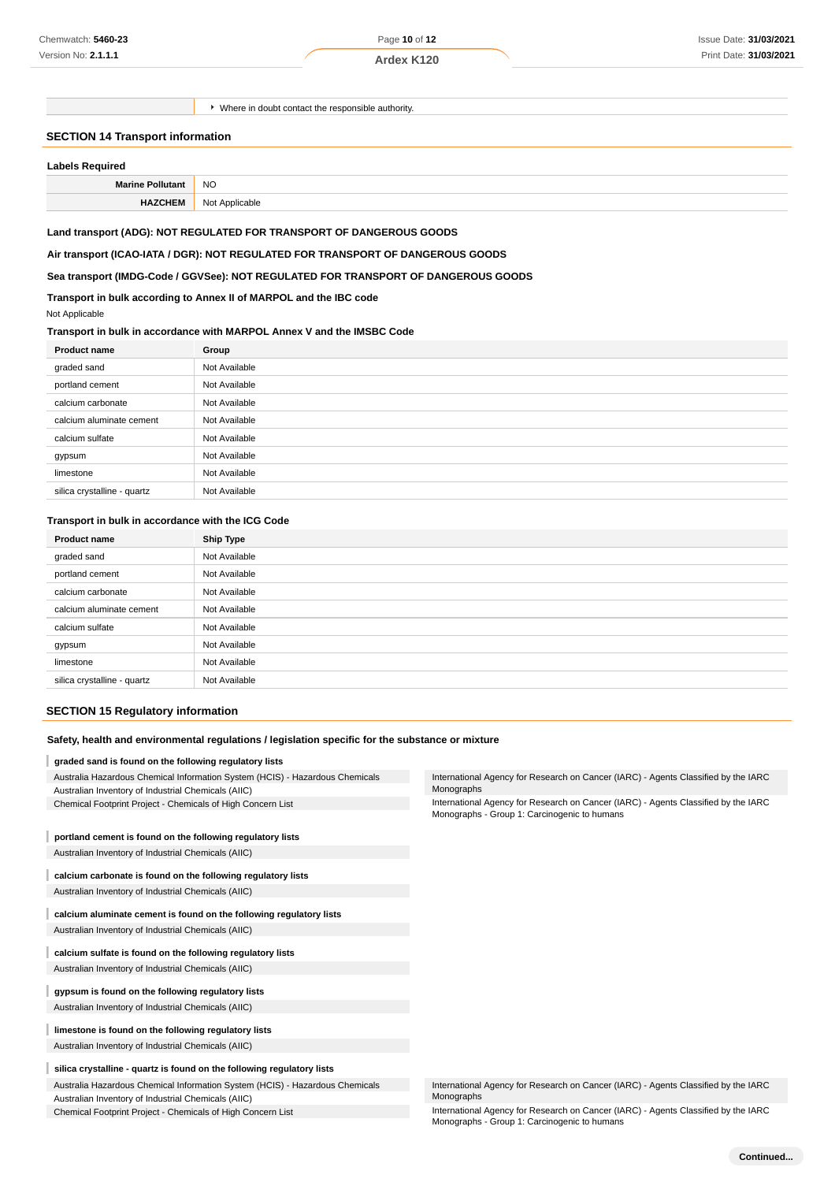Page **10** of **12**

**Ardex K120**

Where in doubt contact the responsible authority.

#### **SECTION 14 Transport information**

| Labels Required |  |  |  |
|-----------------|--|--|--|

| Labels Required         |                |
|-------------------------|----------------|
| <b>Marine Pollutant</b> | <b>NO</b>      |
| <b>HAZCHEM</b>          | Not Applicable |

#### **Land transport (ADG): NOT REGULATED FOR TRANSPORT OF DANGEROUS GOODS**

**Air transport (ICAO-IATA / DGR): NOT REGULATED FOR TRANSPORT OF DANGEROUS GOODS**

### **Sea transport (IMDG-Code / GGVSee): NOT REGULATED FOR TRANSPORT OF DANGEROUS GOODS**

### **Transport in bulk according to Annex II of MARPOL and the IBC code**

#### Not Applicable

### **Transport in bulk in accordance with MARPOL Annex V and the IMSBC Code**

| <b>Product name</b>         | Group         |  |
|-----------------------------|---------------|--|
| graded sand                 | Not Available |  |
| portland cement             | Not Available |  |
| calcium carbonate           | Not Available |  |
| calcium aluminate cement    | Not Available |  |
| calcium sulfate             | Not Available |  |
| gypsum                      | Not Available |  |
| limestone                   | Not Available |  |
| silica crystalline - quartz | Not Available |  |

#### **Transport in bulk in accordance with the ICG Code**

| <b>Product name</b>         | <b>Ship Type</b> |
|-----------------------------|------------------|
| graded sand                 | Not Available    |
| portland cement             | Not Available    |
| calcium carbonate           | Not Available    |
| calcium aluminate cement    | Not Available    |
| calcium sulfate             | Not Available    |
| gypsum                      | Not Available    |
| limestone                   | Not Available    |
| silica crystalline - quartz | Not Available    |

#### **SECTION 15 Regulatory information**

#### **Safety, health and environmental regulations / legislation specific for the substance or mixture**

#### **graded sand is found on the following regulatory lists**

|  |  | Australia Hazardous Chemical Information System (HCIS) - Hazardous Chemicals |  |
|--|--|------------------------------------------------------------------------------|--|
|  |  |                                                                              |  |

- Australian Inventory of Industrial Chemicals (AIIC)
- Chemical Footprint Project Chemicals of High Concern List

#### I **portland cement is found on the following regulatory lists**

Australian Inventory of Industrial Chemicals (AIIC)

Australian Inventory of Industrial Chemicals (AIIC)

I **calcium aluminate cement is found on the following regulatory lists** Australian Inventory of Industrial Chemicals (AIIC)

#### **calcium sulfate is found on the following regulatory lists**

Australian Inventory of Industrial Chemicals (AIIC)

#### I **gypsum is found on the following regulatory lists**

Australian Inventory of Industrial Chemicals (AIIC)

**limestone is found on the following regulatory lists** Australian Inventory of Industrial Chemicals (AIIC)

#### **silica crystalline - quartz is found on the following regulatory lists**

Australia Hazardous Chemical Information System (HCIS) - Hazardous Chemicals Australian Inventory of Industrial Chemicals (AIIC)

Chemical Footprint Project - Chemicals of High Concern List

International Agency for Research on Cancer (IARC) - Agents Classified by the IARC Monographs

International Agency for Research on Cancer (IARC) - Agents Classified by the IARC Monographs - Group 1: Carcinogenic to humans

| International Agency for Research on Cancer (IARC) - Agents Classified by the IARC |  |
|------------------------------------------------------------------------------------|--|
| Monographs                                                                         |  |

International Agency for Research on Cancer (IARC) - Agents Classified by the IARC Monographs - Group 1: Carcinogenic to humans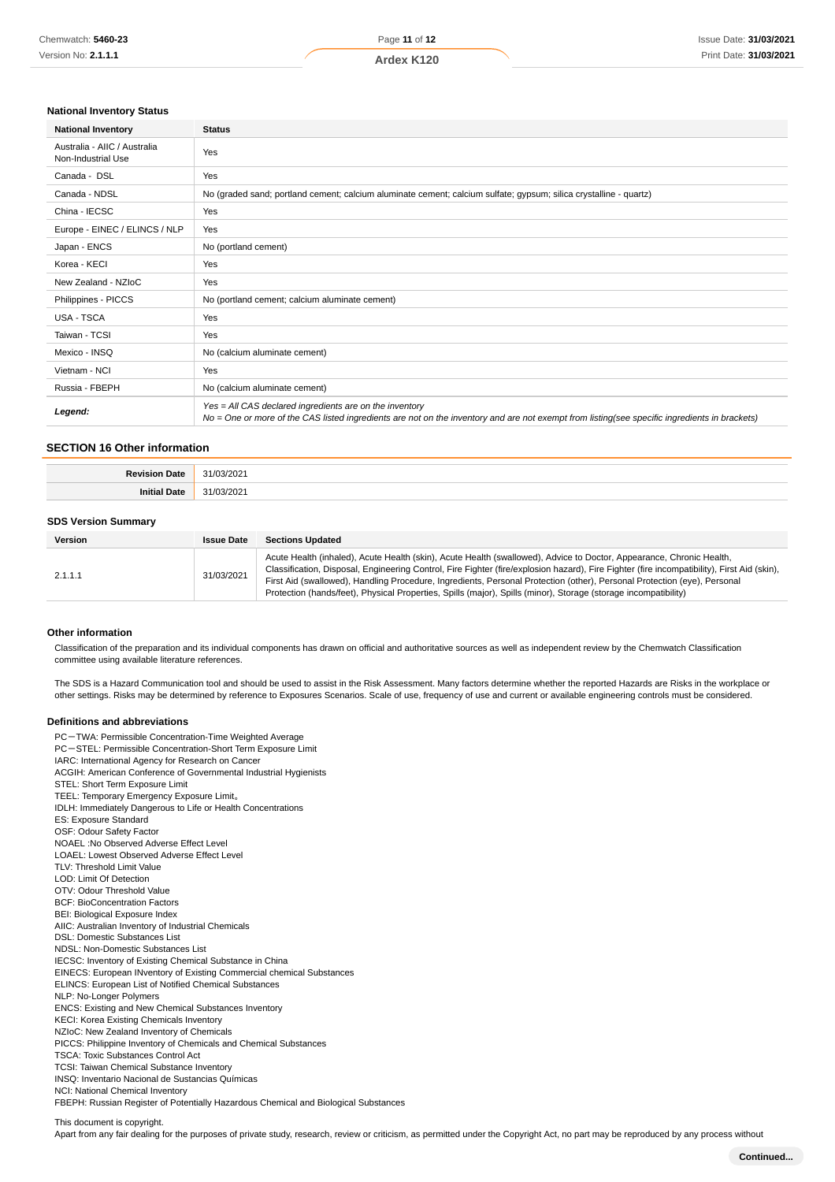#### **National Inventory Status**

| <b>National Inventory</b>                          | <b>Status</b>                                                                                                                                                                                            |  |
|----------------------------------------------------|----------------------------------------------------------------------------------------------------------------------------------------------------------------------------------------------------------|--|
| Australia - AIIC / Australia<br>Non-Industrial Use | Yes                                                                                                                                                                                                      |  |
| Canada - DSL                                       | Yes                                                                                                                                                                                                      |  |
| Canada - NDSL                                      | No (graded sand; portland cement; calcium aluminate cement; calcium sulfate; gypsum; silica crystalline - quartz)                                                                                        |  |
| China - IECSC                                      | Yes                                                                                                                                                                                                      |  |
| Europe - EINEC / ELINCS / NLP                      | Yes                                                                                                                                                                                                      |  |
| Japan - ENCS                                       | No (portland cement)                                                                                                                                                                                     |  |
| Korea - KECI                                       | Yes                                                                                                                                                                                                      |  |
| New Zealand - NZIoC                                | Yes                                                                                                                                                                                                      |  |
| Philippines - PICCS                                | No (portland cement; calcium aluminate cement)                                                                                                                                                           |  |
| <b>USA - TSCA</b>                                  | Yes                                                                                                                                                                                                      |  |
| Taiwan - TCSI                                      | Yes                                                                                                                                                                                                      |  |
| Mexico - INSQ                                      | No (calcium aluminate cement)                                                                                                                                                                            |  |
| Vietnam - NCI                                      | Yes                                                                                                                                                                                                      |  |
| Russia - FBEPH                                     | No (calcium aluminate cement)                                                                                                                                                                            |  |
| Legend:                                            | Yes = All CAS declared ingredients are on the inventory<br>No = One or more of the CAS listed ingredients are not on the inventory and are not exempt from listing(see specific ingredients in brackets) |  |

#### **SECTION 16 Other information**

| $\sim$<br>uz |
|--------------|
|              |

#### **SDS Version Summary**

| Version | <b>Issue Date</b> | <b>Sections Updated</b>                                                                                                                                                                                                                                                                                                                                                                                                                                                                                            |
|---------|-------------------|--------------------------------------------------------------------------------------------------------------------------------------------------------------------------------------------------------------------------------------------------------------------------------------------------------------------------------------------------------------------------------------------------------------------------------------------------------------------------------------------------------------------|
| 2.1.1.1 | 31/03/2021        | Acute Health (inhaled), Acute Health (skin), Acute Health (swallowed), Advice to Doctor, Appearance, Chronic Health,<br>Classification, Disposal, Engineering Control, Fire Fighter (fire/explosion hazard), Fire Fighter (fire incompatibility), First Aid (skin),<br>First Aid (swallowed), Handling Procedure, Ingredients, Personal Protection (other), Personal Protection (eye), Personal<br>Protection (hands/feet), Physical Properties, Spills (major), Spills (minor), Storage (storage incompatibility) |

#### **Other information**

Classification of the preparation and its individual components has drawn on official and authoritative sources as well as independent review by the Chemwatch Classification committee using available literature references.

The SDS is a Hazard Communication tool and should be used to assist in the Risk Assessment. Many factors determine whether the reported Hazards are Risks in the workplace or other settings. Risks may be determined by reference to Exposures Scenarios. Scale of use, frequency of use and current or available engineering controls must be considered.

#### **Definitions and abbreviations**

PC-TWA: Permissible Concentration-Time Weighted Average PC-STEL: Permissible Concentration-Short Term Exposure Limit IARC: International Agency for Research on Cancer ACGIH: American Conference of Governmental Industrial Hygienists STEL: Short Term Exposure Limit TEEL: Temporary Emergency Exposure Limit。 IDLH: Immediately Dangerous to Life or Health Concentrations ES: Exposure Standard OSF: Odour Safety Factor NOAEL :No Observed Adverse Effect Level LOAEL: Lowest Observed Adverse Effect Level TLV: Threshold Limit Value LOD: Limit Of Detection OTV: Odour Threshold Value BCF: BioConcentration Factors BEI: Biological Exposure Index AIIC: Australian Inventory of Industrial Chemicals DSL: Domestic Substances List NDSL: Non-Domestic Substances List IECSC: Inventory of Existing Chemical Substance in China EINECS: European INventory of Existing Commercial chemical Substances ELINCS: European List of Notified Chemical Substances NLP: No-Longer Polymers ENCS: Existing and New Chemical Substances Inventory KECI: Korea Existing Chemicals Inventory NZIoC: New Zealand Inventory of Chemicals PICCS: Philippine Inventory of Chemicals and Chemical Substances TSCA: Toxic Substances Control Act TCSI: Taiwan Chemical Substance Inventory INSQ: Inventario Nacional de Sustancias Químicas NCI: National Chemical Inventory FBEPH: Russian Register of Potentially Hazardous Chemical and Biological Substances

This document is copyright.

Apart from any fair dealing for the purposes of private study, research, review or criticism, as permitted under the Copyright Act, no part may be reproduced by any process without